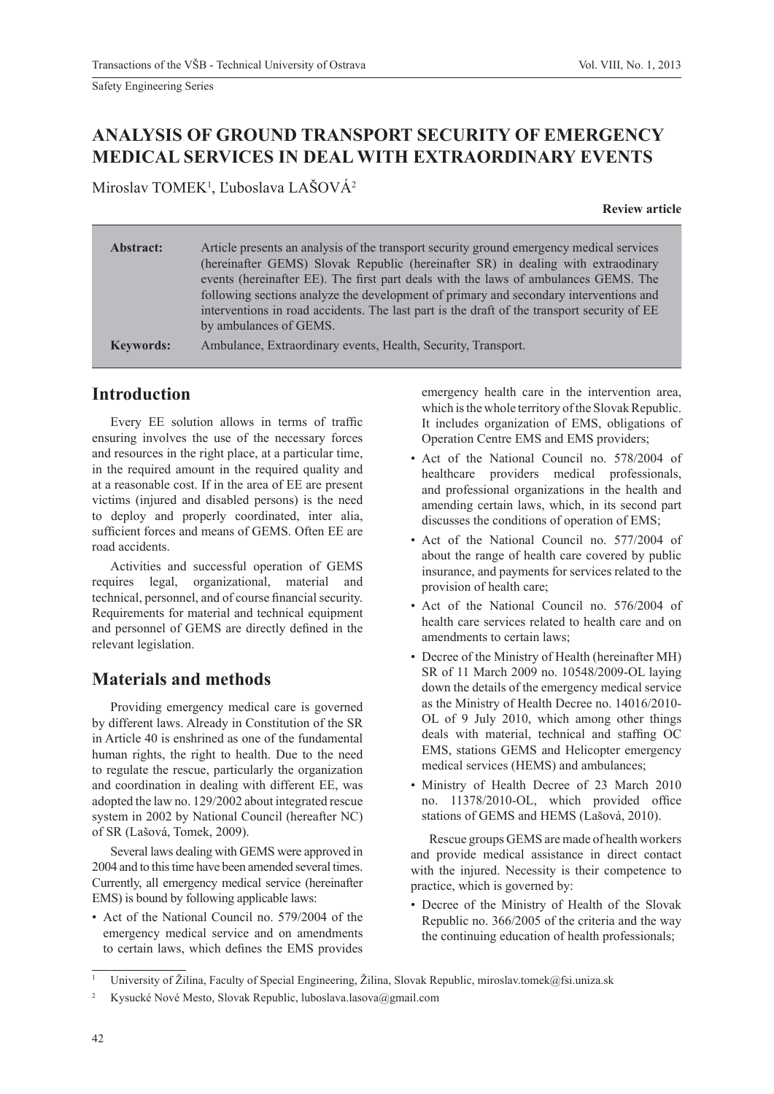# **ANALYSIS OF GROUND TRANSPORT SECURITY OF EMERGENCY MEDICAL SERVICES IN DEAL WITH EXTRAORDINARY EVENTS**

Miroslav TOMEK<sup>1</sup>, Ľuboslava LAŠOVÁ<sup>2</sup>

**Review article**

| Abstract:        | Article presents an analysis of the transport security ground emergency medical services<br>(hereinafter GEMS) Slovak Republic (hereinafter SR) in dealing with extraodinary<br>events (hereinafter EE). The first part deals with the laws of ambulances GEMS. The<br>following sections analyze the development of primary and secondary interventions and<br>interventions in road accidents. The last part is the draft of the transport security of EE<br>by ambulances of GEMS. |
|------------------|---------------------------------------------------------------------------------------------------------------------------------------------------------------------------------------------------------------------------------------------------------------------------------------------------------------------------------------------------------------------------------------------------------------------------------------------------------------------------------------|
| <b>Keywords:</b> | Ambulance, Extraordinary events, Health, Security, Transport.                                                                                                                                                                                                                                                                                                                                                                                                                         |

### **Introduction**

Every EE solution allows in terms of traffic ensuring involves the use of the necessary forces and resources in the right place, at a particular time, in the required amount in the required quality and at a reasonable cost. If in the area of EE are present victims (injured and disabled persons) is the need to deploy and properly coordinated, inter alia, sufficient forces and means of GEMS. Often EE are road accidents.

Activities and successful operation of GEMS requires legal, organizational, material and technical, personnel, and of course financial security. Requirements for material and technical equipment and personnel of GEMS are directly defined in the relevant legislation.

## **Materials and methods**

Providing emergency medical care is governed by different laws. Already in Constitution of the SR in Article 40 is enshrined as one of the fundamental human rights, the right to health. Due to the need to regulate the rescue, particularly the organization and coordination in dealing with different EE, was adopted the law no. 129/2002 about integrated rescue system in 2002 by National Council (hereafter NC) of SR (Lašová, Tomek, 2009).

Several laws dealing with GEMS were approved in 2004 and to this time have been amended several times. Currently, all emergency medical service (hereinafter EMS) is bound by following applicable laws:

• Act of the National Council no. 579/2004 of the emergency medical service and on amendments to certain laws, which defines the EMS provides

emergency health care in the intervention area, which is the whole territory of the Slovak Republic. It includes organization of EMS, obligations of Operation Centre EMS and EMS providers;

- Act of the National Council no. 578/2004 of healthcare providers medical professionals, and professional organizations in the health and amending certain laws, which, in its second part discusses the conditions of operation of EMS;
- Act of the National Council no. 577/2004 of about the range of health care covered by public insurance, and payments for services related to the provision of health care;
- Act of the National Council no. 576/2004 of health care services related to health care and on amendments to certain laws;
- Decree of the Ministry of Health (hereinafter MH) SR of 11 March 2009 no. 10548/2009-OL laying down the details of the emergency medical service as the Ministry of Health Decree no. 14016/2010- OL of 9 July 2010, which among other things deals with material, technical and staffing OC EMS, stations GEMS and Helicopter emergency medical services (HEMS) and ambulances;
- Ministry of Health Decree of 23 March 2010 no. 11378/2010-OL, which provided office stations of GEMS and HEMS (Lašová, 2010).

Rescue groups GEMS are made of health workers and provide medical assistance in direct contact with the injured. Necessity is their competence to practice, which is governed by:

• Decree of the Ministry of Health of the Slovak Republic no. 366/2005 of the criteria and the way the continuing education of health professionals;

<sup>1</sup> University of Žilina, Faculty of Special Engineering, Žilina, Slovak Republic, miroslav.tomek@fsi.uniza.sk

<sup>2</sup> Kysucké Nové Mesto, Slovak Republic, luboslava.lasova@gmail.com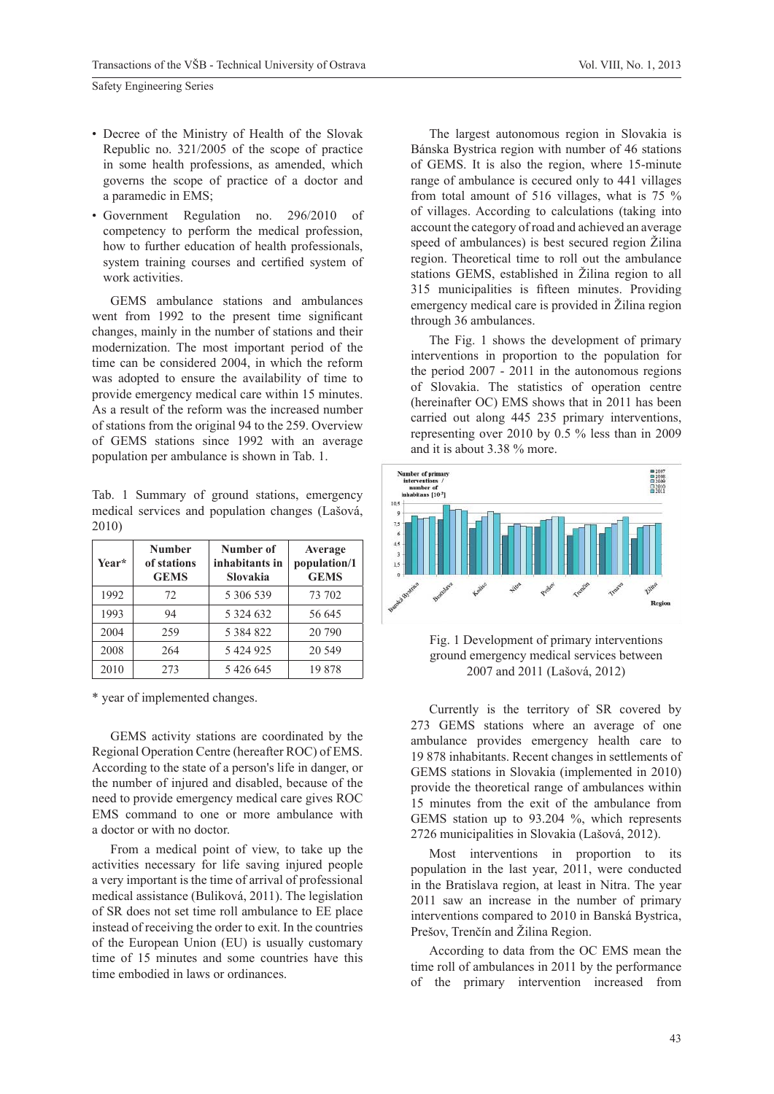- Decree of the Ministry of Health of the Slovak Republic no. 321/2005 of the scope of practice in some health professions, as amended, which governs the scope of practice of a doctor and a paramedic in EMS;
- Government Regulation no. 296/2010 of competency to perform the medical profession, how to further education of health professionals, system training courses and certified system of work activities.

GEMS ambulance stations and ambulances went from 1992 to the present time significant changes, mainly in the number of stations and their modernization. The most important period of the time can be considered 2004, in which the reform was adopted to ensure the availability of time to provide emergency medical care within 15 minutes. As a result of the reform was the increased number of stations from the original 94 to the 259. Overview of GEMS stations since 1992 with an average population per ambulance is shown in Tab. 1.

Tab. 1 Summary of ground stations, emergency medical services and population changes (Lašová, 2010)

| Year* | <b>Number</b><br>of stations<br><b>GEMS</b> | Number of<br>inhabitants in<br>Slovakia | Average<br>population/1<br><b>GEMS</b> |
|-------|---------------------------------------------|-----------------------------------------|----------------------------------------|
| 1992  | 72                                          | 5 306 539                               | 73 702                                 |
| 1993  | 94                                          | 5 3 2 4 6 3 2                           | 56 645                                 |
| 2004  | 259                                         | 5 3 8 4 8 2 2                           | 20 790                                 |
| 2008  | 264                                         | 5 424 925                               | 20 549                                 |
| 2010  | 273                                         | 5426645                                 | 19878                                  |

\* year of implemented changes.

GEMS activity stations are coordinated by the Regional Operation Centre (hereafter ROC) of EMS. According to the state of a person's life in danger, or the number of injured and disabled, because of the need to provide emergency medical care gives ROC EMS command to one or more ambulance with a doctor or with no doctor.

From a medical point of view, to take up the activities necessary for life saving injured people a very important is the time of arrival of professional medical assistance (Buliková, 2011). The legislation of SR does not set time roll ambulance to EE place instead of receiving the order to exit. In the countries of the European Union (EU) is usually customary time of 15 minutes and some countries have this time embodied in laws or ordinances.

The largest autonomous region in Slovakia is Bánska Bystrica region with number of 46 stations of GEMS. It is also the region, where 15-minute range of ambulance is cecured only to 441 villages from total amount of 516 villages, what is 75 % of villages. According to calculations (taking into account the category of road and achieved an average speed of ambulances) is best secured region Žilina region. Theoretical time to roll out the ambulance stations GEMS, established in Žilina region to all 315 municipalities is fifteen minutes. Providing emergency medical care is provided in Žilina region through 36 ambulances.

The Fig. 1 shows the development of primary interventions in proportion to the population for the period 2007 - 2011 in the autonomous regions of Slovakia. The statistics of operation centre (hereinafter OC) EMS shows that in 2011 has been carried out along 445 235 primary interventions, representing over 2010 by 0.5 % less than in 2009 and it is about 3.38 % more.



Fig. 1 Development of primary interventions ground emergency medical services between 2007 and 2011 (Lašová, 2012)

Currently is the territory of SR covered by 273 GEMS stations where an average of one ambulance provides emergency health care to 19 878 inhabitants. Recent changes in settlements of GEMS stations in Slovakia (implemented in 2010) provide the theoretical range of ambulances within 15 minutes from the exit of the ambulance from GEMS station up to 93.204 %, which represents 2726 municipalities in Slovakia (Lašová, 2012).

Most interventions in proportion to its population in the last year, 2011, were conducted in the Bratislava region, at least in Nitra. The year 2011 saw an increase in the number of primary interventions compared to 2010 in Banská Bystrica, Prešov, Trenčín and Žilina Region.

According to data from the OC EMS mean the time roll of ambulances in 2011 by the performance of the primary intervention increased from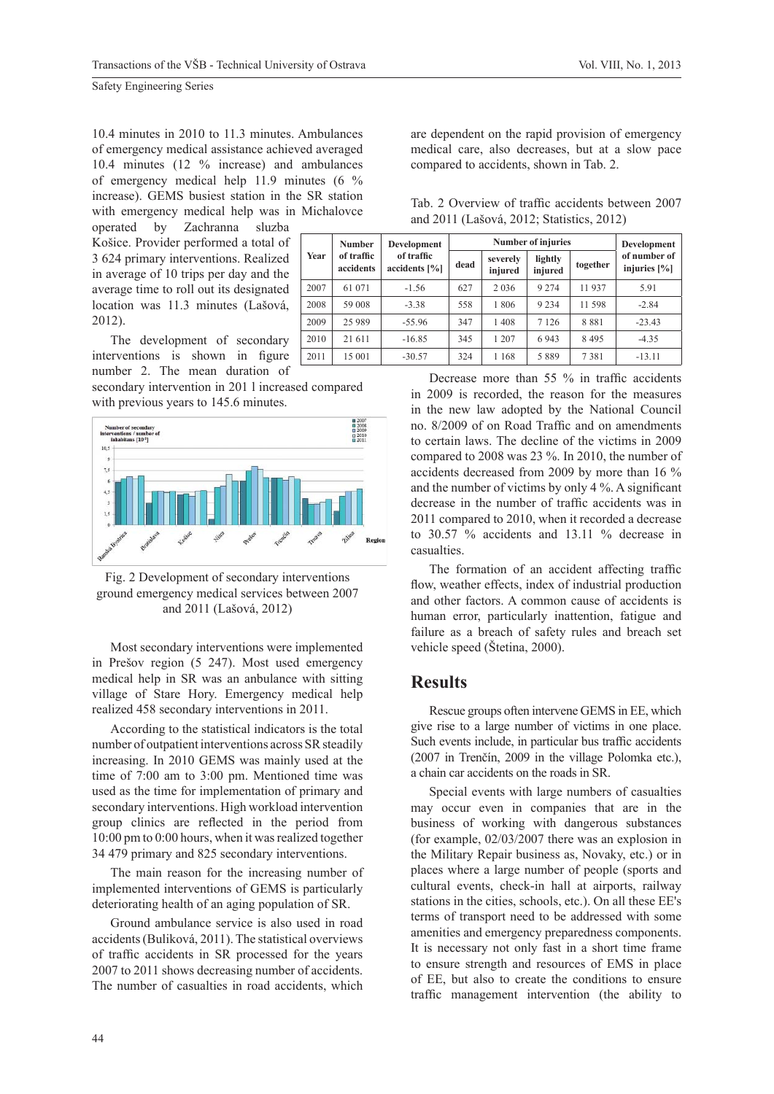10.4 minutes in 2010 to 11.3 minutes. Ambulances of emergency medical assistance achieved averaged 10.4 minutes (12 % increase) and ambulances of emergency medical help 11.9 minutes (6 % increase). GEMS busiest station in the SR station with emergency medical help was in Michalovce

operated by Zachranna sluzba Košice. Provider performed a total of 3 624 primary interventions. Realized in average of 10 trips per day and the average time to roll out its designated location was 11.3 minutes (Lašová, 2012).

The development of secondary interventions is shown in figure number 2. The mean duration of

secondary intervention in 201 l increased compared with previous years to 145.6 minutes.



Fig. 2 Development of secondary interventions ground emergency medical services between 2007 and 2011 (Lašová, 2012)

Most secondary interventions were implemented in Prešov region (5 247). Most used emergency medical help in SR was an anbulance with sitting village of Stare Hory. Emergency medical help realized 458 secondary interventions in 2011.

According to the statistical indicators is the total number of outpatient interventions across SR steadily increasing. In 2010 GEMS was mainly used at the time of 7:00 am to 3:00 pm. Mentioned time was used as the time for implementation of primary and secondary interventions. High workload intervention group clinics are reflected in the period from 10:00 pm to 0:00 hours, when it was realized together 34 479 primary and 825 secondary interventions.

The main reason for the increasing number of implemented interventions of GEMS is particularly deteriorating health of an aging population of SR.

Ground ambulance service is also used in road accidents (Buliková, 2011). The statistical overviews of traffic accidents in SR processed for the years 2007 to 2011 shows decreasing number of accidents. The number of casualties in road accidents, which

are dependent on the rapid provision of emergency medical care, also decreases, but at a slow pace compared to accidents, shown in Tab. 2.

Tab. 2 Overview of traffic accidents between 2007 and 2011 (Lašová, 2012; Statistics, 2012)

|      | Number                  | Development<br>of traffic<br>accidents $[\%]$ |      | <b>Number of injuries</b> | Development        |          |                                 |
|------|-------------------------|-----------------------------------------------|------|---------------------------|--------------------|----------|---------------------------------|
| Year | of traffic<br>accidents |                                               | dead | severely<br>injured       | lightly<br>injured | together | of number of<br>injuries $[\%]$ |
| 2007 | 61 071                  | $-1.56$                                       | 627  | 2 0 3 6                   | 9 2 7 4            | 11 937   | 5.91                            |
| 2008 | 59 008                  | $-3.38$                                       | 558  | 1806                      | 9 2 3 4            | 11 598   | $-2.84$                         |
| 2009 | 25 9 89                 | $-55.96$                                      | 347  | 1408                      | 7 1 2 6            | 8881     | $-23.43$                        |
| 2010 | 21 611                  | $-16.85$                                      | 345  | 1 207                     | 6943               | 8495     | $-4.35$                         |
| 2011 | 15 001                  | $-30.57$                                      | 324  | 1 1 6 8                   | 5889               | 7381     | $-13.11$                        |

Decrease more than  $55\%$  in traffic accidents in 2009 is recorded, the reason for the measures in the new law adopted by the National Council no. 8/2009 of on Road Traffic and on amendments to certain laws. The decline of the victims in 2009 compared to 2008 was 23 %. In 2010, the number of accidents decreased from 2009 by more than 16 % and the number of victims by only  $4\%$ . A significant decrease in the number of traffic accidents was in 2011 compared to 2010, when it recorded a decrease to 30.57 % accidents and 13.11 % decrease in casualties.

The formation of an accident affecting traffic flow, weather effects, index of industrial production and other factors. A common cause of accidents is human error, particularly inattention, fatigue and failure as a breach of safety rules and breach set vehicle speed (Štetina, 2000).

#### **Results**

Rescue groups often intervene GEMS in EE, which give rise to a large number of victims in one place. Such events include, in particular bus traffic accidents (2007 in Trenčín, 2009 in the village Polomka etc.), a chain car accidents on the roads in SR.

Special events with large numbers of casualties may occur even in companies that are in the business of working with dangerous substances (for example, 02/03/2007 there was an explosion in the Military Repair business as, Novaky, etc.) or in places where a large number of people (sports and cultural events, check-in hall at airports, railway stations in the cities, schools, etc.). On all these EE's terms of transport need to be addressed with some amenities and emergency preparedness components. It is necessary not only fast in a short time frame to ensure strength and resources of EMS in place of EE, but also to create the conditions to ensure traffic management intervention (the ability to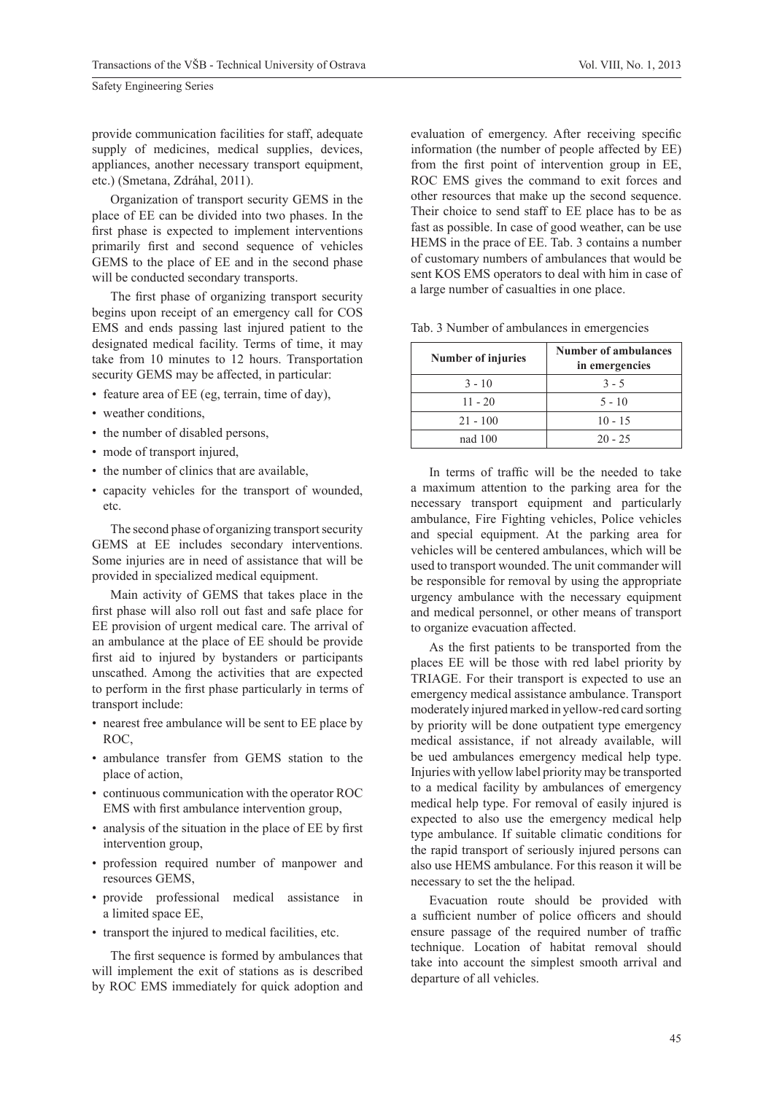provide communication facilities for staff, adequate supply of medicines, medical supplies, devices, appliances, another necessary transport equipment, etc.) (Smetana, Zdráhal, 2011).

Organization of transport security GEMS in the place of EE can be divided into two phases. In the first phase is expected to implement interventions primarily first and second sequence of vehicles GEMS to the place of EE and in the second phase will be conducted secondary transports.

The first phase of organizing transport security begins upon receipt of an emergency call for COS EMS and ends passing last injured patient to the designated medical facility. Terms of time, it may take from 10 minutes to 12 hours. Transportation security GEMS may be affected, in particular:

- feature area of EE (eg, terrain, time of day),
- weather conditions,
- the number of disabled persons,
- mode of transport injured.
- the number of clinics that are available,
- capacity vehicles for the transport of wounded, etc.

The second phase of organizing transport security GEMS at EE includes secondary interventions. Some injuries are in need of assistance that will be provided in specialized medical equipment.

Main activity of GEMS that takes place in the first phase will also roll out fast and safe place for EE provision of urgent medical care. The arrival of an ambulance at the place of EE should be provide first aid to injured by bystanders or participants unscathed. Among the activities that are expected to perform in the first phase particularly in terms of transport include:

- nearest free ambulance will be sent to EE place by ROC,
- ambulance transfer from GEMS station to the place of action,
- continuous communication with the operator ROC EMS with first ambulance intervention group,
- analysis of the situation in the place of EE by first intervention group,
- profession required number of manpower and resources GEMS,
- provide professional medical assistance in a limited space EE,
- transport the injured to medical facilities, etc.

The first sequence is formed by ambulances that will implement the exit of stations as is described by ROC EMS immediately for quick adoption and

evaluation of emergency. After receiving specific information (the number of people affected by EE) from the first point of intervention group in EE, ROC EMS gives the command to exit forces and other resources that make up the second sequence. Their choice to send staff to EE place has to be as fast as possible. In case of good weather, can be use HEMS in the prace of EE. Tab. 3 contains a number of customary numbers of ambulances that would be sent KOS EMS operators to deal with him in case of a large number of casualties in one place.

|  |  |  | Tab. 3 Number of ambulances in emergencies |  |
|--|--|--|--------------------------------------------|--|
|  |  |  |                                            |  |

| Number of injuries | <b>Number of ambulances</b><br>in emergencies |
|--------------------|-----------------------------------------------|
| $3 - 10$           | $3 - 5$                                       |
| $11 - 20$          | $5 - 10$                                      |
| $21 - 100$         | $10 - 15$                                     |
| nad 100            | $20 - 25$                                     |

In terms of traffic will be the needed to take a maximum attention to the parking area for the necessary transport equipment and particularly ambulance, Fire Fighting vehicles, Police vehicles and special equipment. At the parking area for vehicles will be centered ambulances, which will be used to transport wounded. The unit commander will be responsible for removal by using the appropriate urgency ambulance with the necessary equipment and medical personnel, or other means of transport to organize evacuation affected.

As the first patients to be transported from the places EE will be those with red label priority by TRIAGE. For their transport is expected to use an emergency medical assistance ambulance. Transport moderately injured marked in yellow-red card sorting by priority will be done outpatient type emergency medical assistance, if not already available, will be ued ambulances emergency medical help type. Injuries with yellow label priority may be transported to a medical facility by ambulances of emergency medical help type. For removal of easily injured is expected to also use the emergency medical help type ambulance. If suitable climatic conditions for the rapid transport of seriously injured persons can also use HEMS ambulance. For this reason it will be necessary to set the the helipad.

Evacuation route should be provided with a sufficient number of police officers and should ensure passage of the required number of traffic technique. Location of habitat removal should take into account the simplest smooth arrival and departure of all vehicles.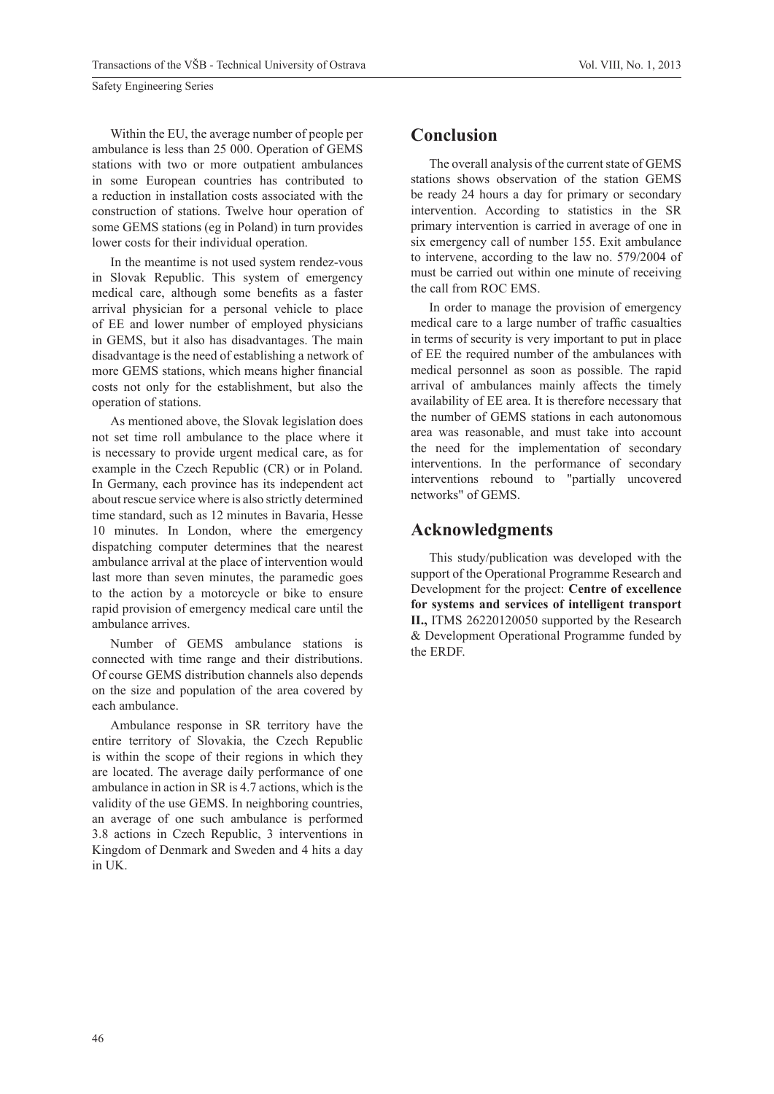Within the EU, the average number of people per ambulance is less than 25 000. Operation of GEMS stations with two or more outpatient ambulances in some European countries has contributed to a reduction in installation costs associated with the construction of stations. Twelve hour operation of some GEMS stations (eg in Poland) in turn provides lower costs for their individual operation.

In the meantime is not used system rendez-vous in Slovak Republic. This system of emergency medical care, although some benefits as a faster arrival physician for a personal vehicle to place of EE and lower number of employed physicians in GEMS, but it also has disadvantages. The main disadvantage is the need of establishing a network of more GEMS stations, which means higher financial costs not only for the establishment, but also the operation of stations.

As mentioned above, the Slovak legislation does not set time roll ambulance to the place where it is necessary to provide urgent medical care, as for example in the Czech Republic (CR) or in Poland. In Germany, each province has its independent act about rescue service where is also strictly determined time standard, such as 12 minutes in Bavaria, Hesse 10 minutes. In London, where the emergency dispatching computer determines that the nearest ambulance arrival at the place of intervention would last more than seven minutes, the paramedic goes to the action by a motorcycle or bike to ensure rapid provision of emergency medical care until the ambulance arrives.

Number of GEMS ambulance stations is connected with time range and their distributions. Of course GEMS distribution channels also depends on the size and population of the area covered by each ambulance.

Ambulance response in SR territory have the entire territory of Slovakia, the Czech Republic is within the scope of their regions in which they are located. The average daily performance of one ambulance in action in SR is 4.7 actions, which is the validity of the use GEMS. In neighboring countries, an average of one such ambulance is performed 3.8 actions in Czech Republic, 3 interventions in Kingdom of Denmark and Sweden and 4 hits a day in UK.

#### **Conclusion**

The overall analysis of the current state of GEMS stations shows observation of the station GEMS be ready 24 hours a day for primary or secondary intervention. According to statistics in the SR primary intervention is carried in average of one in six emergency call of number 155. Exit ambulance to intervene, according to the law no. 579/2004 of must be carried out within one minute of receiving the call from ROC EMS.

In order to manage the provision of emergency medical care to a large number of traffic casualties in terms of security is very important to put in place of EE the required number of the ambulances with medical personnel as soon as possible. The rapid arrival of ambulances mainly affects the timely availability of EE area. It is therefore necessary that the number of GEMS stations in each autonomous area was reasonable, and must take into account the need for the implementation of secondary interventions. In the performance of secondary interventions rebound to "partially uncovered networks" of GEMS.

#### **Acknowledgments**

This study/publication was developed with the support of the Operational Programme Research and Development for the project: **Centre of excellence for systems and services of intelligent transport II.,** ITMS 26220120050 supported by the Research & Development Operational Programme funded by the ERDF.